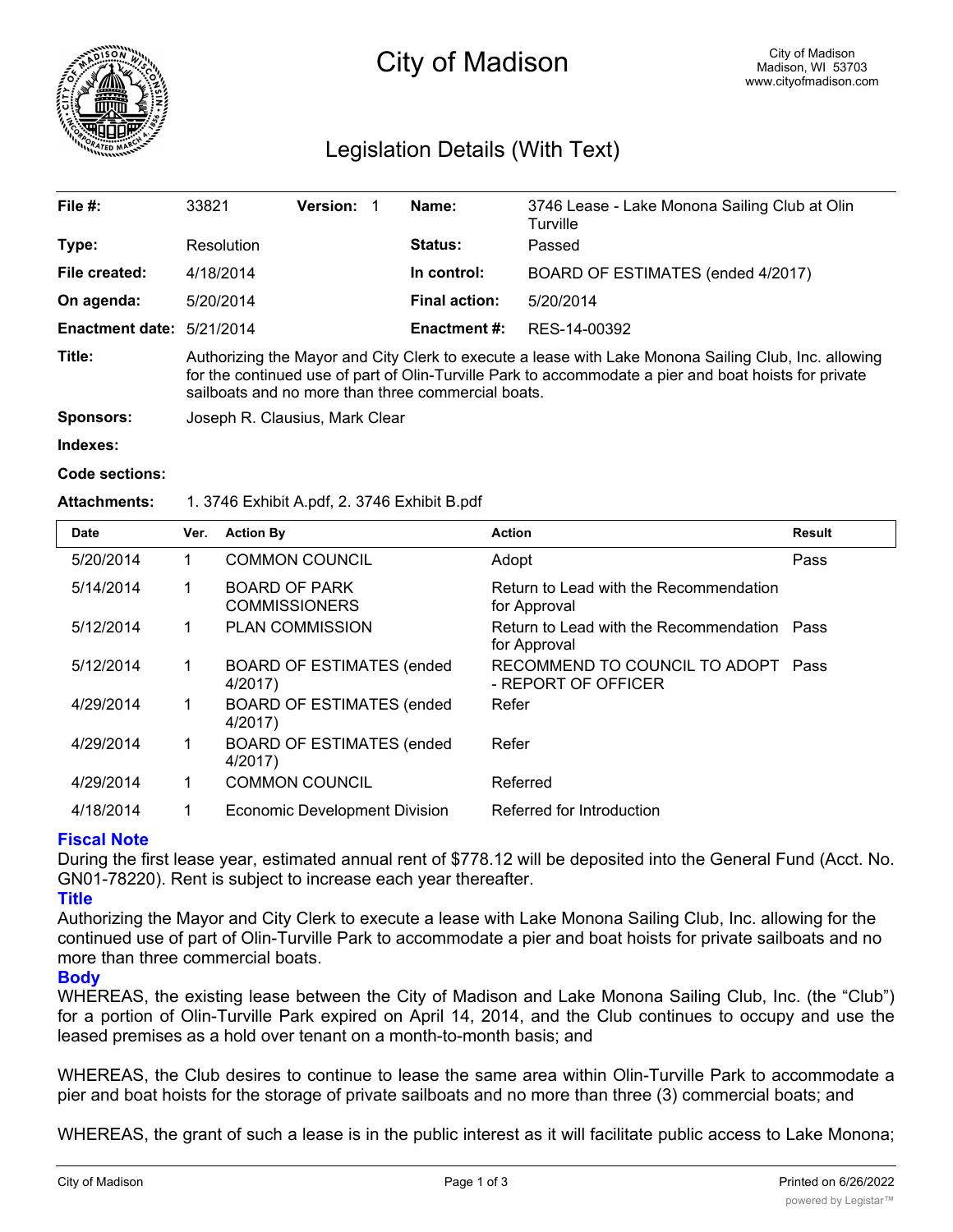

# City of Madison

# Legislation Details (With Text)

| File $#$ :             | 33821                                                                                                                                                                                                                                                               | <b>Version: 1</b> |  | Name:               | 3746 Lease - Lake Monona Sailing Club at Olin<br>Turville |  |  |
|------------------------|---------------------------------------------------------------------------------------------------------------------------------------------------------------------------------------------------------------------------------------------------------------------|-------------------|--|---------------------|-----------------------------------------------------------|--|--|
| Type:                  | Resolution                                                                                                                                                                                                                                                          |                   |  | <b>Status:</b>      | Passed                                                    |  |  |
| File created:          | 4/18/2014                                                                                                                                                                                                                                                           |                   |  | In control:         | BOARD OF ESTIMATES (ended 4/2017)                         |  |  |
| On agenda:             | 5/20/2014                                                                                                                                                                                                                                                           |                   |  | Final action:       | 5/20/2014                                                 |  |  |
| <b>Enactment date:</b> | 5/21/2014                                                                                                                                                                                                                                                           |                   |  | <b>Enactment #:</b> | RES-14-00392                                              |  |  |
| Title:                 | Authorizing the Mayor and City Clerk to execute a lease with Lake Monona Sailing Club, Inc. allowing<br>for the continued use of part of Olin-Turville Park to accommodate a pier and boat hoists for private<br>sailboats and no more than three commercial boats. |                   |  |                     |                                                           |  |  |
| Sponsors:              | Joseph R. Clausius, Mark Clear                                                                                                                                                                                                                                      |                   |  |                     |                                                           |  |  |

#### **Indexes:**

### **Code sections:**

# **Attachments:** 1. 3746 Exhibit A.pdf, 2. 3746 Exhibit B.pdf

| <b>Date</b> | Ver. | <b>Action By</b>                             | <b>Action</b>                                               | <b>Result</b> |
|-------------|------|----------------------------------------------|-------------------------------------------------------------|---------------|
| 5/20/2014   |      | <b>COMMON COUNCIL</b>                        | Adopt                                                       | Pass          |
| 5/14/2014   | 1    | <b>BOARD OF PARK</b><br><b>COMMISSIONERS</b> | Return to Lead with the Recommendation<br>for Approval      |               |
| 5/12/2014   |      | <b>PLAN COMMISSION</b>                       | Return to Lead with the Recommendation Pass<br>for Approval |               |
| 5/12/2014   | 1    | <b>BOARD OF ESTIMATES (ended</b><br>4/2017)  | RECOMMEND TO COUNCIL TO ADOPT<br>- REPORT OF OFFICER        | Pass          |
| 4/29/2014   |      | <b>BOARD OF ESTIMATES (ended</b><br>4/2017)  | Refer                                                       |               |
| 4/29/2014   |      | <b>BOARD OF ESTIMATES (ended</b><br>4/2017)  | Refer                                                       |               |
| 4/29/2014   |      | <b>COMMON COUNCIL</b>                        | Referred                                                    |               |
| 4/18/2014   |      | Economic Development Division                | Referred for Introduction                                   |               |

# **Fiscal Note**

During the first lease year, estimated annual rent of \$778.12 will be deposited into the General Fund (Acct. No. GN01-78220). Rent is subject to increase each year thereafter.

### **Title**

Authorizing the Mayor and City Clerk to execute a lease with Lake Monona Sailing Club, Inc. allowing for the continued use of part of Olin-Turville Park to accommodate a pier and boat hoists for private sailboats and no more than three commercial boats.

### **Body**

WHEREAS, the existing lease between the City of Madison and Lake Monona Sailing Club, Inc. (the "Club") for a portion of Olin-Turville Park expired on April 14, 2014, and the Club continues to occupy and use the leased premises as a hold over tenant on a month-to-month basis; and

WHEREAS, the Club desires to continue to lease the same area within Olin-Turville Park to accommodate a pier and boat hoists for the storage of private sailboats and no more than three (3) commercial boats; and

WHEREAS, the grant of such a lease is in the public interest as it will facilitate public access to Lake Monona;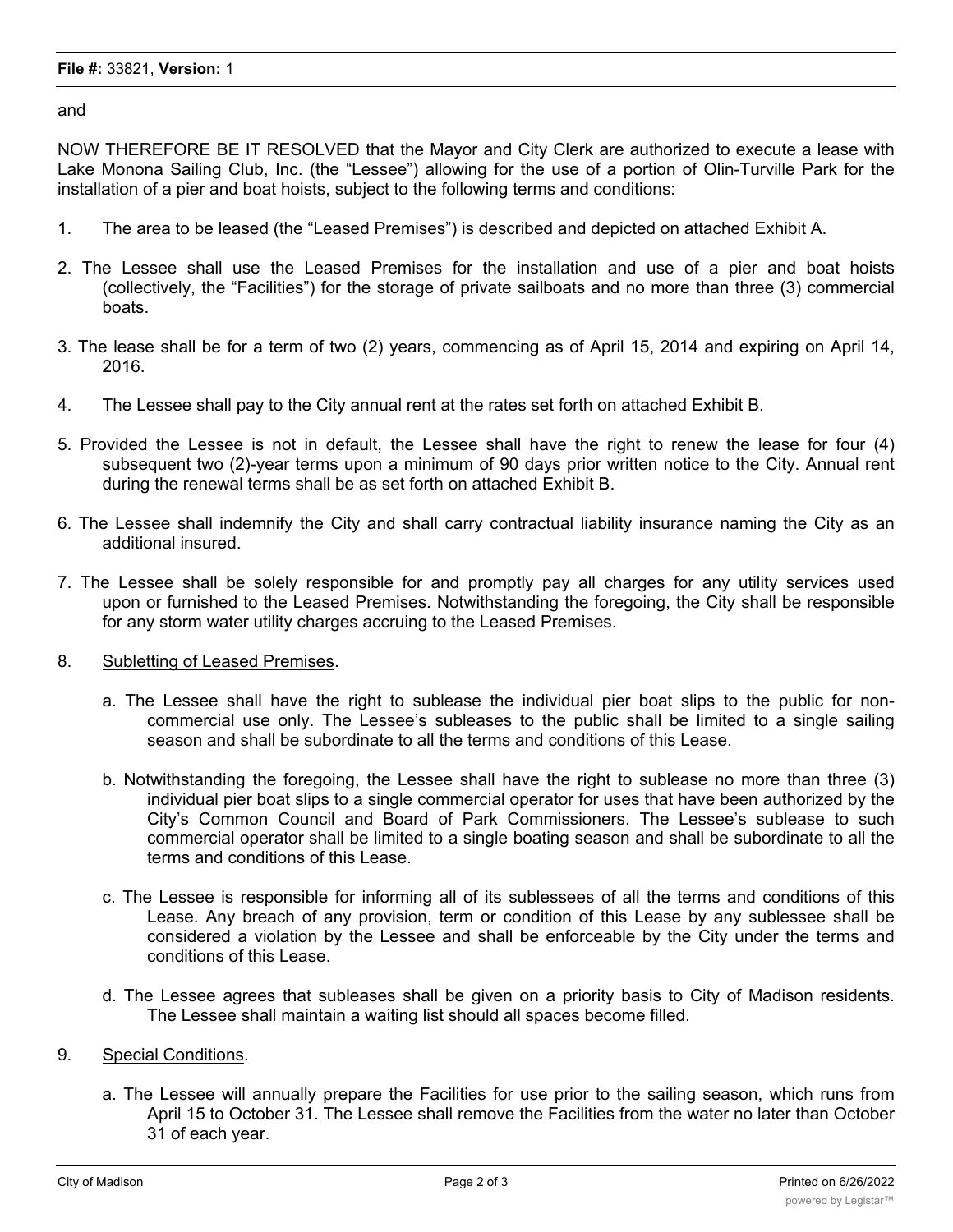## **File #:** 33821, **Version:** 1

and

NOW THEREFORE BE IT RESOLVED that the Mayor and City Clerk are authorized to execute a lease with Lake Monona Sailing Club, Inc. (the "Lessee") allowing for the use of a portion of Olin-Turville Park for the installation of a pier and boat hoists, subject to the following terms and conditions:

- 1. The area to be leased (the "Leased Premises") is described and depicted on attached Exhibit A.
- 2. The Lessee shall use the Leased Premises for the installation and use of a pier and boat hoists (collectively, the "Facilities") for the storage of private sailboats and no more than three (3) commercial boats.
- 3. The lease shall be for a term of two (2) years, commencing as of April 15, 2014 and expiring on April 14, 2016.
- 4. The Lessee shall pay to the City annual rent at the rates set forth on attached Exhibit B.
- 5. Provided the Lessee is not in default, the Lessee shall have the right to renew the lease for four (4) subsequent two (2)-year terms upon a minimum of 90 days prior written notice to the City. Annual rent during the renewal terms shall be as set forth on attached Exhibit B.
- 6. The Lessee shall indemnify the City and shall carry contractual liability insurance naming the City as an additional insured.
- 7. The Lessee shall be solely responsible for and promptly pay all charges for any utility services used upon or furnished to the Leased Premises. Notwithstanding the foregoing, the City shall be responsible for any storm water utility charges accruing to the Leased Premises.
- 8. Subletting of Leased Premises.
	- a. The Lessee shall have the right to sublease the individual pier boat slips to the public for noncommercial use only. The Lessee's subleases to the public shall be limited to a single sailing season and shall be subordinate to all the terms and conditions of this Lease.
	- b. Notwithstanding the foregoing, the Lessee shall have the right to sublease no more than three (3) individual pier boat slips to a single commercial operator for uses that have been authorized by the City's Common Council and Board of Park Commissioners. The Lessee's sublease to such commercial operator shall be limited to a single boating season and shall be subordinate to all the terms and conditions of this Lease.
	- c. The Lessee is responsible for informing all of its sublessees of all the terms and conditions of this Lease. Any breach of any provision, term or condition of this Lease by any sublessee shall be considered a violation by the Lessee and shall be enforceable by the City under the terms and conditions of this Lease.
	- d. The Lessee agrees that subleases shall be given on a priority basis to City of Madison residents. The Lessee shall maintain a waiting list should all spaces become filled.
- 9. Special Conditions.
	- a. The Lessee will annually prepare the Facilities for use prior to the sailing season, which runs from April 15 to October 31. The Lessee shall remove the Facilities from the water no later than October 31 of each year.